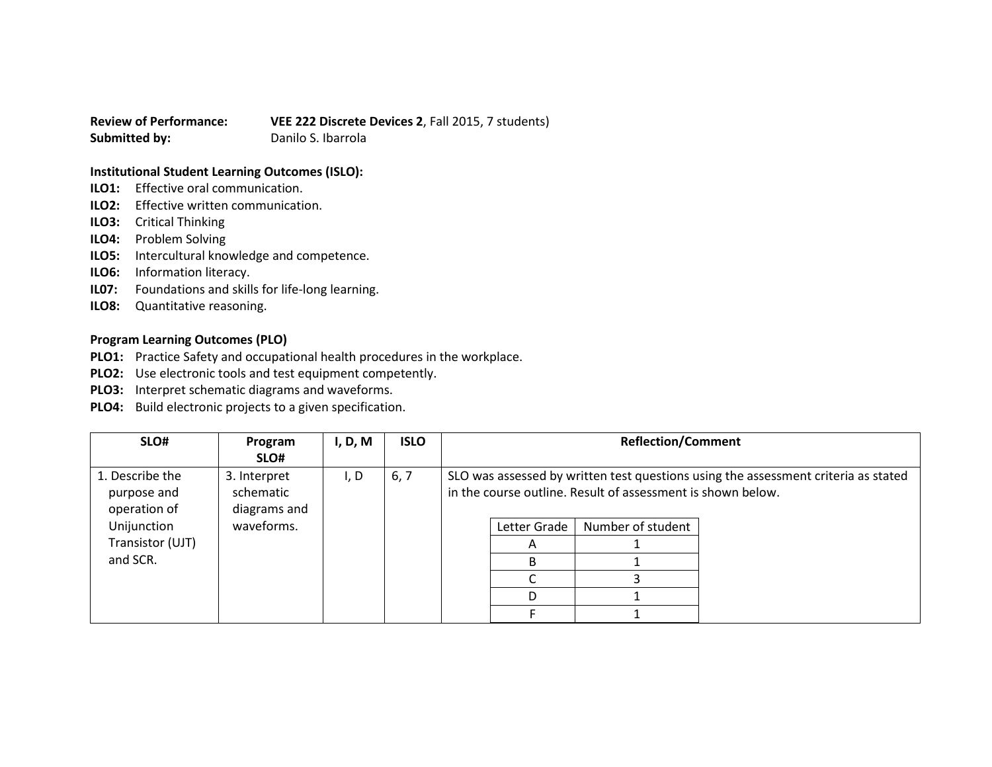**Review of Performance: VEE 222 Discrete Devices 2**, Fall 2015, 7 students) **Submitted by:** Danilo S. Ibarrola

## **Institutional Student Learning Outcomes (ISLO):**

- **ILO1:** Effective oral communication.
- **ILO2:** Effective written communication.
- **ILO3:** Critical Thinking
- **ILO4:** Problem Solving
- **ILO5:** Intercultural knowledge and competence.
- **ILO6:** Information literacy.
- **IL07:** Foundations and skills for life-long learning.
- **ILO8:** Quantitative reasoning.

## **Program Learning Outcomes (PLO)**

- **PLO1:** Practice Safety and occupational health procedures in the workplace.
- **PLO2:** Use electronic tools and test equipment competently.
- **PLO3:** Interpret schematic diagrams and waveforms.
- **PLO4:** Build electronic projects to a given specification.

| SLO#                                           | Program<br>SLO#                           | I, D, M | <b>ISLO</b> |              | <b>Reflection/Comment</b>                                   |                                                                                    |
|------------------------------------------------|-------------------------------------------|---------|-------------|--------------|-------------------------------------------------------------|------------------------------------------------------------------------------------|
| 1. Describe the<br>purpose and<br>operation of | 3. Interpret<br>schematic<br>diagrams and | I, D    | 6, 7        |              | in the course outline. Result of assessment is shown below. | SLO was assessed by written test questions using the assessment criteria as stated |
| Unijunction                                    | waveforms.                                |         |             | Letter Grade | Number of student                                           |                                                                                    |
| Transistor (UJT)                               |                                           |         |             |              |                                                             |                                                                                    |
| and SCR.                                       |                                           |         |             | R.           |                                                             |                                                                                    |
|                                                |                                           |         |             |              |                                                             |                                                                                    |
|                                                |                                           |         |             |              |                                                             |                                                                                    |
|                                                |                                           |         |             |              |                                                             |                                                                                    |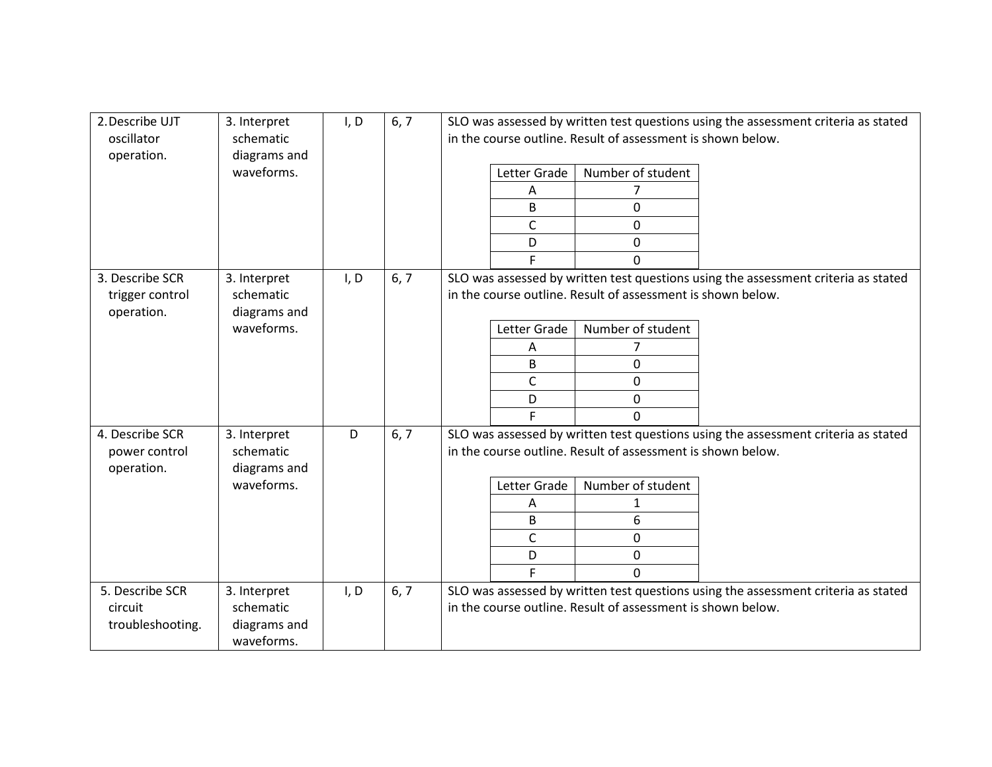| 2. Describe UJT<br>oscillator<br>operation.                                                                   | 3. Interpret<br>schematic<br>diagrams and               | I, D | 6, 7                                                                                                                                              | SLO was assessed by written test questions using the assessment criteria as stated<br>in the course outline. Result of assessment is shown below. |  |  |  |
|---------------------------------------------------------------------------------------------------------------|---------------------------------------------------------|------|---------------------------------------------------------------------------------------------------------------------------------------------------|---------------------------------------------------------------------------------------------------------------------------------------------------|--|--|--|
|                                                                                                               | waveforms.                                              |      |                                                                                                                                                   | Letter Grade<br>Number of student                                                                                                                 |  |  |  |
|                                                                                                               |                                                         |      |                                                                                                                                                   | A                                                                                                                                                 |  |  |  |
|                                                                                                               |                                                         |      |                                                                                                                                                   | B<br>0                                                                                                                                            |  |  |  |
|                                                                                                               |                                                         |      |                                                                                                                                                   | C<br>0                                                                                                                                            |  |  |  |
|                                                                                                               |                                                         |      |                                                                                                                                                   | D<br>0                                                                                                                                            |  |  |  |
|                                                                                                               |                                                         |      |                                                                                                                                                   | F.<br>$\Omega$                                                                                                                                    |  |  |  |
| 3. Describe SCR<br>I, D<br>6, 7<br>3. Interpret<br>schematic<br>trigger control<br>operation.<br>diagrams and |                                                         |      | SLO was assessed by written test questions using the assessment criteria as stated<br>in the course outline. Result of assessment is shown below. |                                                                                                                                                   |  |  |  |
|                                                                                                               | waveforms.                                              |      |                                                                                                                                                   | Number of student<br>Letter Grade                                                                                                                 |  |  |  |
|                                                                                                               |                                                         |      |                                                                                                                                                   | 7<br>A                                                                                                                                            |  |  |  |
|                                                                                                               |                                                         |      |                                                                                                                                                   | $\Omega$<br>B                                                                                                                                     |  |  |  |
|                                                                                                               |                                                         |      |                                                                                                                                                   | $\mathsf{C}$<br>0                                                                                                                                 |  |  |  |
|                                                                                                               |                                                         |      |                                                                                                                                                   | 0<br>D                                                                                                                                            |  |  |  |
|                                                                                                               |                                                         |      |                                                                                                                                                   | E.<br>$\Omega$                                                                                                                                    |  |  |  |
| 4. Describe SCR<br>power control<br>operation.                                                                | 3. Interpret<br>schematic<br>diagrams and               | D    | 6, 7                                                                                                                                              | SLO was assessed by written test questions using the assessment criteria as stated<br>in the course outline. Result of assessment is shown below. |  |  |  |
|                                                                                                               | waveforms.                                              |      |                                                                                                                                                   | Letter Grade<br>Number of student                                                                                                                 |  |  |  |
|                                                                                                               |                                                         |      |                                                                                                                                                   | Α<br>1                                                                                                                                            |  |  |  |
|                                                                                                               |                                                         |      |                                                                                                                                                   | 6<br>B.                                                                                                                                           |  |  |  |
|                                                                                                               |                                                         |      |                                                                                                                                                   | C<br>0                                                                                                                                            |  |  |  |
|                                                                                                               |                                                         |      |                                                                                                                                                   | D<br>0                                                                                                                                            |  |  |  |
|                                                                                                               |                                                         |      |                                                                                                                                                   | $\mathbf 0$                                                                                                                                       |  |  |  |
| 5. Describe SCR<br>circuit<br>troubleshooting.                                                                | 3. Interpret<br>schematic<br>diagrams and<br>waveforms. | I, D | 6, 7                                                                                                                                              | SLO was assessed by written test questions using the assessment criteria as stated<br>in the course outline. Result of assessment is shown below. |  |  |  |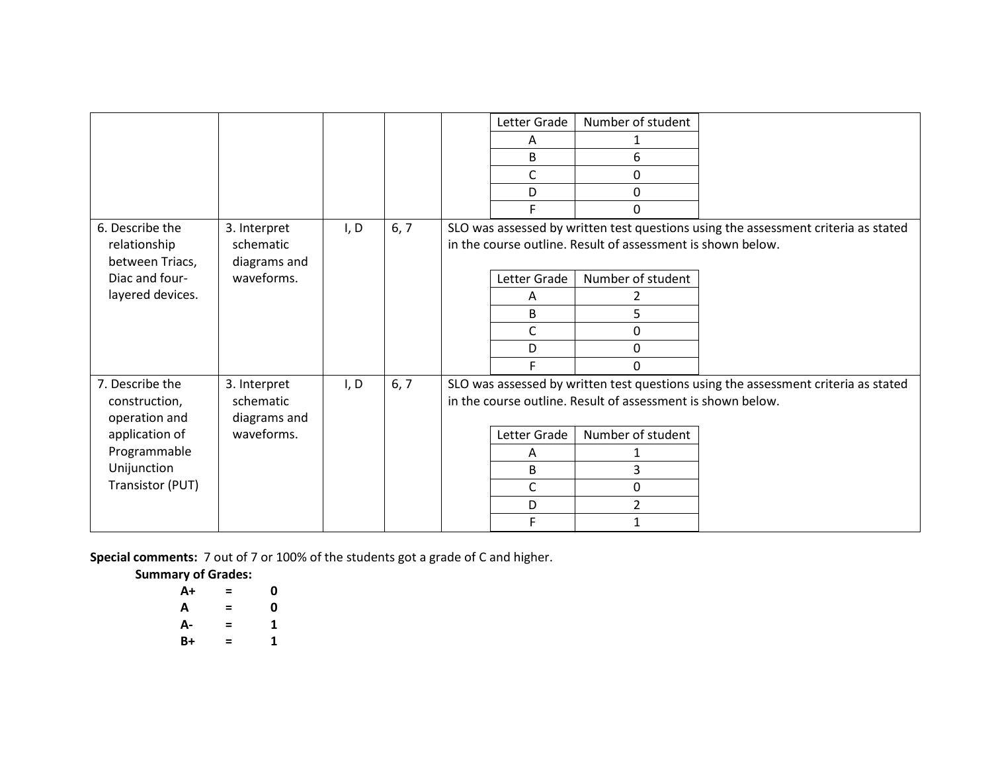|                                 |                           |      |      |                                                             | Letter Grade | Number of student                                           |                                                                                    |
|---------------------------------|---------------------------|------|------|-------------------------------------------------------------|--------------|-------------------------------------------------------------|------------------------------------------------------------------------------------|
|                                 |                           |      |      |                                                             | A            |                                                             |                                                                                    |
|                                 |                           |      |      |                                                             | B            | 6                                                           |                                                                                    |
|                                 |                           |      |      |                                                             | C            | 0                                                           |                                                                                    |
|                                 |                           |      |      |                                                             | D            | 0                                                           |                                                                                    |
|                                 |                           |      |      |                                                             |              | U                                                           |                                                                                    |
| 6. Describe the                 | 3. Interpret              | I, D | 6, 7 |                                                             |              |                                                             | SLO was assessed by written test questions using the assessment criteria as stated |
| relationship<br>between Triacs, | schematic<br>diagrams and |      |      |                                                             |              | in the course outline. Result of assessment is shown below. |                                                                                    |
| Diac and four-                  | waveforms.                |      |      |                                                             | Letter Grade | Number of student                                           |                                                                                    |
| layered devices.                |                           |      |      |                                                             | A            | 2                                                           |                                                                                    |
|                                 |                           |      |      |                                                             | B            | 5                                                           |                                                                                    |
|                                 |                           |      |      |                                                             | $\mathsf{C}$ | 0                                                           |                                                                                    |
|                                 |                           |      |      |                                                             | D            | 0                                                           |                                                                                    |
|                                 |                           |      |      |                                                             |              | 0                                                           |                                                                                    |
| 7. Describe the                 | 3. Interpret              | I, D | 6, 7 |                                                             |              |                                                             | SLO was assessed by written test questions using the assessment criteria as stated |
| construction,<br>operation and  | schematic<br>diagrams and |      |      | in the course outline. Result of assessment is shown below. |              |                                                             |                                                                                    |
| application of                  | waveforms.                |      |      |                                                             | Letter Grade | Number of student                                           |                                                                                    |
| Programmable                    |                           |      |      |                                                             | A            |                                                             |                                                                                    |
| Unijunction                     |                           |      |      |                                                             | B            | 3                                                           |                                                                                    |
| Transistor (PUT)                |                           |      |      |                                                             | $\mathsf{C}$ | 0                                                           |                                                                                    |
|                                 |                           |      |      |                                                             | D            | 2                                                           |                                                                                    |
|                                 |                           |      |      |                                                             |              |                                                             |                                                                                    |

**Special comments:** 7 out of 7 or 100% of the students got a grade of C and higher.

**Summary of Grades:**

| A+ | = | 0 |
|----|---|---|
| А  | = | 0 |
| А- | = | 1 |
| B+ | = | 1 |